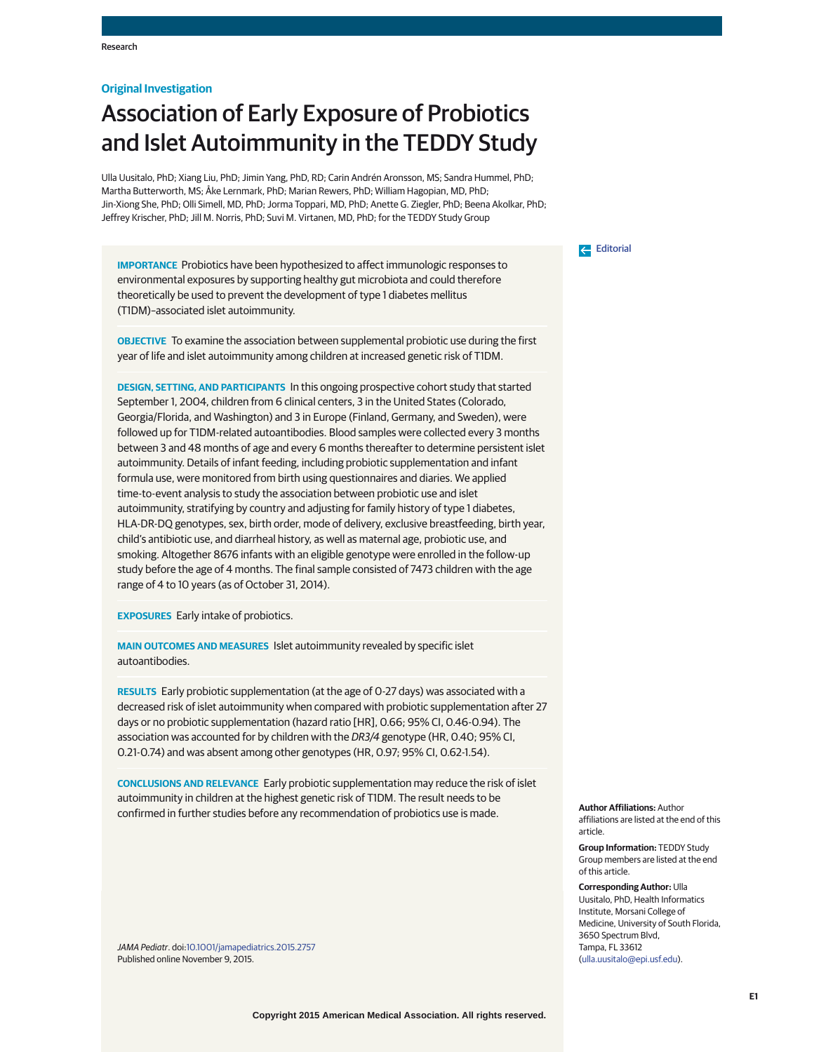## **Original Investigation**

# Association of Early Exposure of Probiotics and Islet Autoimmunity in the TEDDY Study

Ulla Uusitalo, PhD; Xiang Liu, PhD; Jimin Yang, PhD, RD; Carin Andrén Aronsson, MS; Sandra Hummel, PhD; Martha Butterworth, MS; Åke Lernmark, PhD; Marian Rewers, PhD; William Hagopian, MD, PhD; Jin-Xiong She, PhD; Olli Simell, MD, PhD; Jorma Toppari, MD, PhD; Anette G. Ziegler, PhD; Beena Akolkar, PhD; Jeffrey Krischer, PhD; Jill M. Norris, PhD; Suvi M. Virtanen, MD, PhD; for the TEDDY Study Group

**IMPORTANCE** Probiotics have been hypothesized to affect immunologic responses to environmental exposures by supporting healthy gut microbiota and could therefore theoretically be used to prevent the development of type 1 diabetes mellitus (T1DM)–associated islet autoimmunity.

**OBJECTIVE** To examine the association between supplemental probiotic use during the first year of life and islet autoimmunity among children at increased genetic risk of T1DM.

**DESIGN, SETTING, AND PARTICIPANTS** In this ongoing prospective cohort study that started September 1, 2004, children from 6 clinical centers, 3 in the United States (Colorado, Georgia/Florida, and Washington) and 3 in Europe (Finland, Germany, and Sweden), were followed up for T1DM-related autoantibodies. Blood samples were collected every 3 months between 3 and 48 months of age and every 6 months thereafter to determine persistent islet autoimmunity. Details of infant feeding, including probiotic supplementation and infant formula use, were monitored from birth using questionnaires and diaries. We applied time-to-event analysis to study the association between probiotic use and islet autoimmunity, stratifying by country and adjusting for family history of type 1 diabetes, HLA-DR-DQ genotypes, sex, birth order, mode of delivery, exclusive breastfeeding, birth year, child's antibiotic use, and diarrheal history, as well as maternal age, probiotic use, and smoking. Altogether 8676 infants with an eligible genotype were enrolled in the follow-up study before the age of 4 months. The final sample consisted of 7473 children with the age range of 4 to 10 years (as of October 31, 2014).

**EXPOSURES** Early intake of probiotics.

**MAIN OUTCOMES AND MEASURES** Islet autoimmunity revealed by specific islet autoantibodies.

**RESULTS** Early probiotic supplementation (at the age of 0-27 days) was associated with a decreased risk of islet autoimmunity when compared with probiotic supplementation after 27 days or no probiotic supplementation (hazard ratio [HR], 0.66; 95% CI, 0.46-0.94). The association was accounted for by children with the DR3/4 genotype (HR, 0.40; 95% CI, 0.21-0.74) and was absent among other genotypes (HR, 0.97; 95% CI, 0.62-1.54).

**CONCLUSIONS AND RELEVANCE** Early probiotic supplementation may reduce the risk of islet autoimmunity in children at the highest genetic risk of T1DM. The result needs to be confirmed in further studies before any recommendation of probiotics use is made.

JAMA Pediatr. doi[:10.1001/jamapediatrics.2015.2757](http://jama.jamanetwork.com/article.aspx?doi=10.1001/jamapediatrics.2015.2757&utm_campaign=articlePDF%26utm_medium=articlePDFlink%26utm_source=articlePDF%26utm_content=jamapediatrics.2015.2757) Published online November 9, 2015.

## [Editorial](http://jama.jamanetwork.com/article.aspx?doi=10.1001/jamapediatrics.2015.3246&utm_campaign=articlePDF%26utm_medium=articlePDFlink%26utm_source=articlePDF%26utm_content=jamapediatrics.2015.2757)

**Author Affiliations:** Author affiliations are listed at the end of this article.

**Group Information:** TEDDY Study Group members are listed at the end of this article.

**Corresponding Author:** Ulla Uusitalo, PhD, Health Informatics Institute, Morsani College of Medicine, University of South Florida, 3650 Spectrum Blvd, Tampa, FL 33612 [\(ulla.uusitalo@epi.usf.edu\)](mailto:ulla.uusitalo@epi.usf.edu).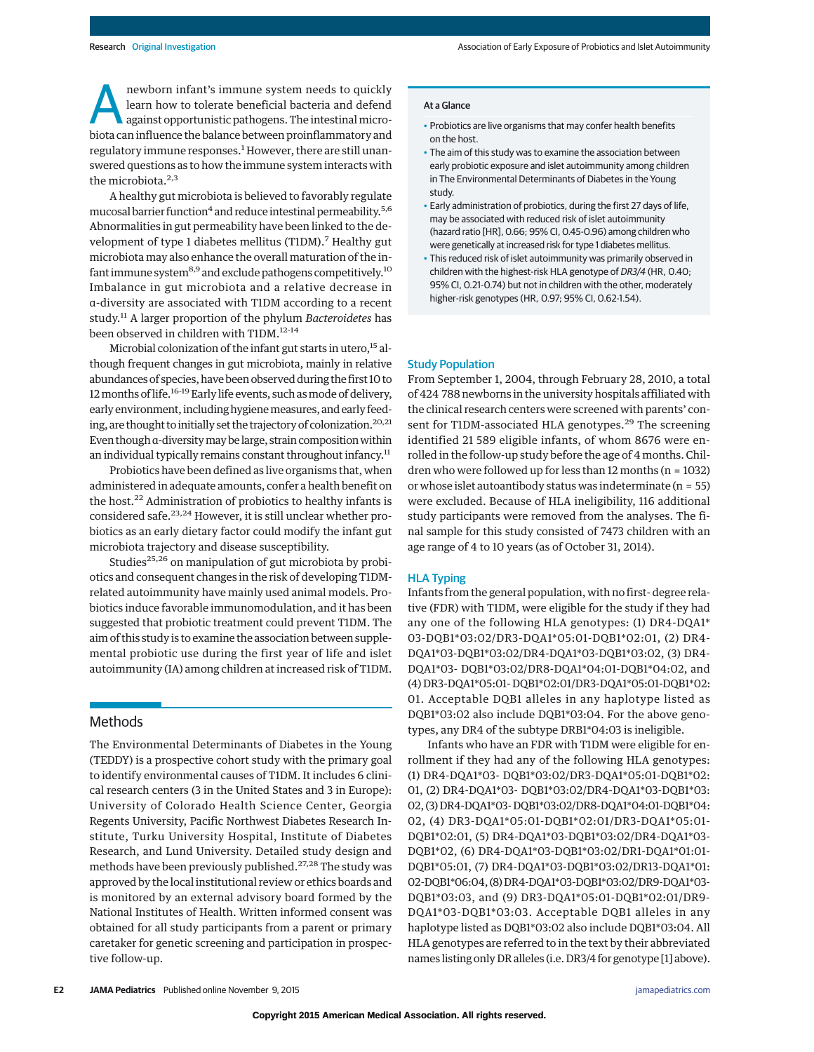newborn infant's immune system needs to quickly learn how to tolerate beneficial bacteria and defend against opportunistic pathogens. The intestinal microbiota can influence the balance between proinflammatory and regulatory immune responses.<sup>1</sup> However, there are still unanswered questions as to how the immune system interacts with the microbiota.<sup>2,3</sup>

A healthy gut microbiota is believed to favorably regulate mucosal barrier function<sup>4</sup> and reduce intestinal permeability.<sup>5,6</sup> Abnormalities in gut permeability have been linked to the development of type 1 diabetes mellitus (T1DM).<sup>7</sup> Healthy gut microbiota may also enhance the overall maturation of the infant immune system $8.9$  and exclude pathogens competitively.<sup>10</sup> Imbalance in gut microbiota and a relative decrease in α-diversity are associated with T1DM according to a recent study.<sup>11</sup> A larger proportion of the phylum *Bacteroidetes* has been observed in children with T1DM.<sup>12-14</sup>

Microbial colonization of the infant gut starts in utero,<sup>15</sup> although frequent changes in gut microbiota, mainly in relative abundances of species, have been observed during the first 10 to 12 months of life.<sup>16-19</sup> Early life events, such as mode of delivery, early environment, including hygiene measures, and early feeding, are thought to initially set the trajectory of colonization.<sup>20,21</sup> Even though α-diversity may be large, strain composition within an individual typically remains constant throughout infancy.<sup>11</sup>

Probiotics have been defined as live organisms that, when administered in adequate amounts, confer a health benefit on the host.22 Administration of probiotics to healthy infants is considered safe.<sup>23,24</sup> However, it is still unclear whether probiotics as an early dietary factor could modify the infant gut microbiota trajectory and disease susceptibility.

Studies<sup>25,26</sup> on manipulation of gut microbiota by probiotics and consequent changes in the risk of developing T1DMrelated autoimmunity have mainly used animal models. Probiotics induce favorable immunomodulation, and it has been suggested that probiotic treatment could prevent T1DM. The aim of this study is to examine the association between supplemental probiotic use during the first year of life and islet autoimmunity (IA) among children at increased risk of T1DM.

## **Methods**

The Environmental Determinants of Diabetes in the Young (TEDDY) is a prospective cohort study with the primary goal to identify environmental causes of T1DM. It includes 6 clinical research centers (3 in the United States and 3 in Europe): University of Colorado Health Science Center, Georgia Regents University, Pacific Northwest Diabetes Research Institute, Turku University Hospital, Institute of Diabetes Research, and Lund University. Detailed study design and methods have been previously published.<sup>27,28</sup> The study was approved by the local institutional review or ethics boards and is monitored by an external advisory board formed by the National Institutes of Health. Written informed consent was obtained for all study participants from a parent or primary caretaker for genetic screening and participation in prospective follow-up.

- Probiotics are live organisms that may confer health benefits on the host.
- The aim of this study was to examine the association between early probiotic exposure and islet autoimmunity among children in The Environmental Determinants of Diabetes in the Young study.
- Early administration of probiotics, during the first 27 days of life, may be associated with reduced risk of islet autoimmunity (hazard ratio [HR], 0.66; 95% CI, 0.45-0.96) among children who were genetically at increased risk for type 1 diabetes mellitus.
- This reduced risk of islet autoimmunity was primarily observed in children with the highest-risk HLA genotype of DR3/4 (HR, 0.40; 95% CI, 0.21-0.74) but not in children with the other, moderately higher-risk genotypes (HR, 0.97; 95% CI, 0.62-1.54).

## Study Population

From September 1, 2004, through February 28, 2010, a total of 424 788 newborns in the university hospitals affiliated with the clinical research centers were screened with parents' consent for T1DM-associated HLA genotypes.<sup>29</sup> The screening identified 21 589 eligible infants, of whom 8676 were enrolled in the follow-up study before the age of 4 months. Children who were followed up for less than  $12$  months ( $n = 1032$ ) or whose islet autoantibody status was indeterminate (n = 55) were excluded. Because of HLA ineligibility, 116 additional study participants were removed from the analyses. The final sample for this study consisted of 7473 children with an age range of 4 to 10 years (as of October 31, 2014).

### HLA Typing

Infants from the general population, with no first- degree relative (FDR) with T1DM, were eligible for the study if they had any one of the following HLA genotypes: (1) DR4-DQA1\* 03-DQB1\*03:02/DR3-DQA1\*05:01-DQB1\*02:01, (2) DR4- DQA1\*03-DQB1\*03:02/DR4-DQA1\*03-DQB1\*03:02, (3) DR4- DQA1\*03- DQB1\*03:02/DR8-DQA1\*04:01-DQB1\*04:02, and (4) DR3-DQA1\*05:01- DQB1\*02:01/DR3-DQA1\*05:01-DQB1\*02: 01. Acceptable DQB1 alleles in any haplotype listed as DQB1\*03:02 also include DQB1\*03:04. For the above genotypes, any DR4 of the subtype DRB1\*04:03 is ineligible.

Infants who have an FDR with T1DM were eligible for enrollment if they had any of the following HLA genotypes: (1) DR4-DQA1\*03- DQB1\*03:02/DR3-DQA1\*05:01-DQB1\*02: 01, (2) DR4-DQA1\*03- DQB1\*03:02/DR4-DQA1\*03-DQB1\*03: 02, (3) DR4-DQA1\*03- DQB1\*03:02/DR8-DQA1\*04:01-DQB1\*04: 02, (4) DR3-DQA1\*05:01-DQB1\*02:01/DR3-DQA1\*05:01- DQB1\*02:01, (5) DR4-DQA1\*03-DQB1\*03:02/DR4-DQA1\*03- DQB1\*02, (6) DR4-DQA1\*03-DQB1\*03:02/DR1-DQA1\*01:01- DQB1\*05:01, (7) DR4-DQA1\*03-DQB1\*03:02/DR13-DQA1\*01: 02-DQB1\*06:04, (8) DR4-DQA1\*03-DQB1\*03:02/DR9-DQA1\*03- DQB1\*03:03, and (9) DR3-DQA1\*05:01-DQB1\*02:01/DR9- DQA1\*03-DQB1\*03:03. Acceptable DQB1 alleles in any haplotype listed as DQB1\*03:02 also include DQB1\*03:04. All HLA genotypes are referred to in the text by their abbreviated names listing only DR alleles (i.e. DR3/4 for genotype [1] above).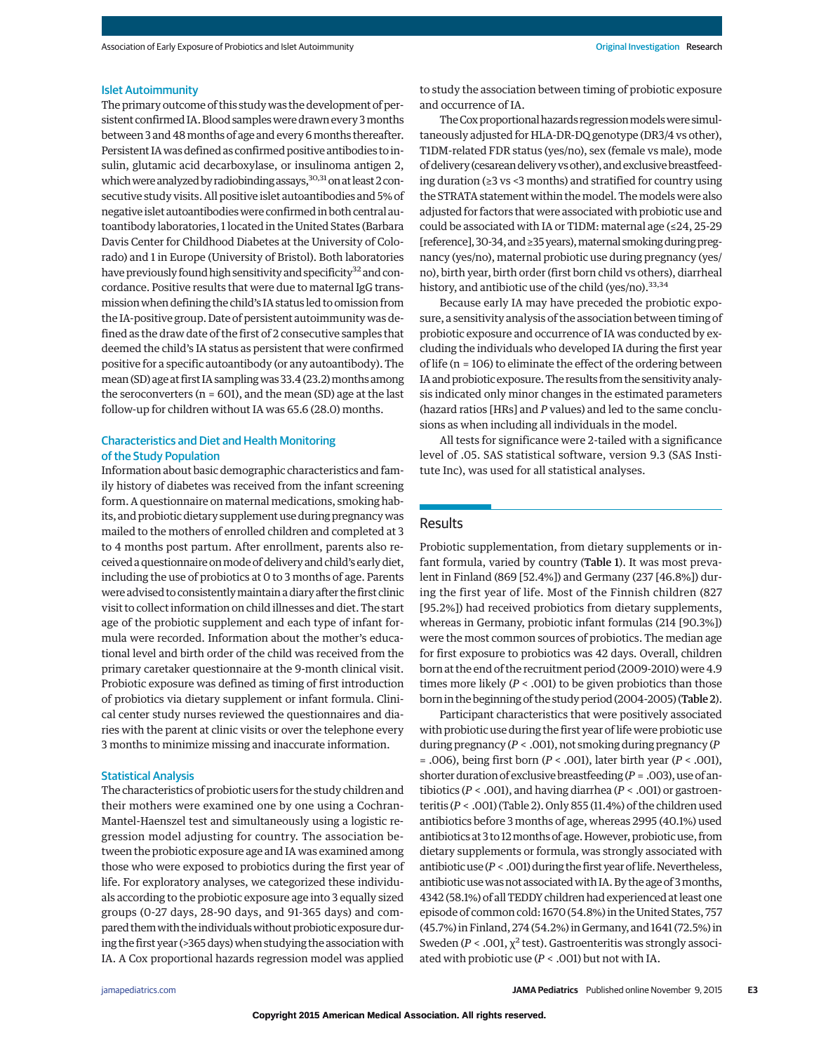#### Islet Autoimmunity

The primary outcome of this study was the development of persistent confirmed IA.Blood sampleswere drawn every 3months between 3 and 48months of age and every 6months thereafter. Persistent IAwas defined as confirmed positive antibodies to insulin, glutamic acid decarboxylase, or insulinoma antigen 2, which were analyzed by radiobinding assays,  $30,31$  on at least 2 consecutive study visits. All positive islet autoantibodies and 5% of negative islet autoantibodies were confirmed in both central autoantibody laboratories, 1 located in the United States (Barbara Davis Center for Childhood Diabetes at the University of Colorado) and 1 in Europe (University of Bristol). Both laboratories have previously found high sensitivity and specificity<sup>32</sup> and concordance. Positive results that were due to maternal IgG transmissionwhen defining the child's IA status led to omission from the IA-positive group. Date of persistent autoimmunity was defined as the draw date of the first of 2 consecutive samples that deemed the child's IA status as persistent that were confirmed positive for a specific autoantibody (or any autoantibody). The mean (SD) age at first IA sampling was 33.4 (23.2) months among the seroconverters ( $n = 601$ ), and the mean (SD) age at the last follow-up for children without IA was 65.6 (28.0) months.

## Characteristics and Diet and Health Monitoring of the Study Population

Information about basic demographic characteristics and family history of diabetes was received from the infant screening form. A questionnaire on maternal medications, smoking habits, and probiotic dietary supplement use during pregnancywas mailed to the mothers of enrolled children and completed at 3 to 4 months post partum. After enrollment, parents also received a questionnaire onmode of delivery and child's early diet, including the use of probiotics at 0 to 3 months of age. Parents were advised to consistentlymaintain a diary after the first clinic visit to collect information on child illnesses and diet. The start age of the probiotic supplement and each type of infant formula were recorded. Information about the mother's educational level and birth order of the child was received from the primary caretaker questionnaire at the 9-month clinical visit. Probiotic exposure was defined as timing of first introduction of probiotics via dietary supplement or infant formula. Clinical center study nurses reviewed the questionnaires and diaries with the parent at clinic visits or over the telephone every 3 months to minimize missing and inaccurate information.

#### Statistical Analysis

The characteristics of probiotic users for the study children and their mothers were examined one by one using a Cochran-Mantel-Haenszel test and simultaneously using a logistic regression model adjusting for country. The association between the probiotic exposure age and IA was examined among those who were exposed to probiotics during the first year of life. For exploratory analyses, we categorized these individuals according to the probiotic exposure age into 3 equally sized groups (0-27 days, 28-90 days, and 91-365 days) and compared them with the individuals without probiotic exposure during the first year (>365 days) when studying the association with IA. A Cox proportional hazards regression model was applied

to study the association between timing of probiotic exposure and occurrence of IA.

The Cox proportional hazards regression models were simultaneously adjusted for HLA-DR-DQ genotype (DR3/4 vs other), T1DM-related FDR status (yes/no), sex (female vs male), mode of delivery (cesarean delivery vs other), and exclusive breastfeeding duration (≥3 vs <3 months) and stratified for country using the STRATA statement within themodel. Themodels were also adjusted for factors that were associated with probiotic use and could be associated with IA or T1DM: maternal age (≤24, 25-29 [reference], 30-34, and ≥35 years), maternal smoking during pregnancy (yes/no), maternal probiotic use during pregnancy (yes/ no), birth year, birth order (first born child vs others), diarrheal history, and antibiotic use of the child (yes/no).<sup>33,34</sup>

Because early IA may have preceded the probiotic exposure, a sensitivity analysis of the association between timing of probiotic exposure and occurrence of IA was conducted by excluding the individuals who developed IA during the first year of life (n = 106) to eliminate the effect of the ordering between IA and probiotic exposure.The results from the sensitivity analysis indicated only minor changes in the estimated parameters (hazard ratios [HRs] and *P* values) and led to the same conclusions as when including all individuals in the model.

All tests for significance were 2-tailed with a significance level of .05. SAS statistical software, version 9.3 (SAS Institute Inc), was used for all statistical analyses.

## Results

Probiotic supplementation, from dietary supplements or infant formula, varied by country (Table 1). It was most prevalent in Finland (869 [52.4%]) and Germany (237 [46.8%]) during the first year of life. Most of the Finnish children (827 [95.2%]) had received probiotics from dietary supplements, whereas in Germany, probiotic infant formulas (214 [90.3%]) were the most common sources of probiotics. The median age for first exposure to probiotics was 42 days. Overall, children born at the end of the recruitment period (2009-2010) were 4.9 times more likely  $(P < .001)$  to be given probiotics than those born in the beginning of the study period (2004-2005) (Table 2).

Participant characteristics that were positively associated with probiotic use during the first year of life were probiotic use during pregnancy (*P* < .001), not smoking during pregnancy (*P* = .006), being first born (*P* < .001), later birth year (*P* < .001), shorter duration of exclusive breastfeeding (*P* = .003), use of antibiotics (*P* < .001), and having diarrhea (*P* < .001) or gastroenteritis (*P* < .001) (Table 2). Only 855 (11.4%) of the children used antibiotics before 3 months of age, whereas 2995 (40.1%) used antibiotics at 3 to 12 months of age. However, probiotic use, from dietary supplements or formula, was strongly associated with antibioticuse ( $P < .001$ ) during the first year of life. Nevertheless, antibiotic use was not associated with IA. By the age of 3 months, 4342 (58.1%) of all TEDDY children had experienced at least one episode of common cold: 1670 (54.8%) in the United States, 757 (45.7%) in Finland, 274 (54.2%) in Germany, and 1641 (72.5%) in Sweden ( $P < .001$ ,  $\chi^2$  test). Gastroenteritis was strongly associated with probiotic use (*P* < .001) but not with IA.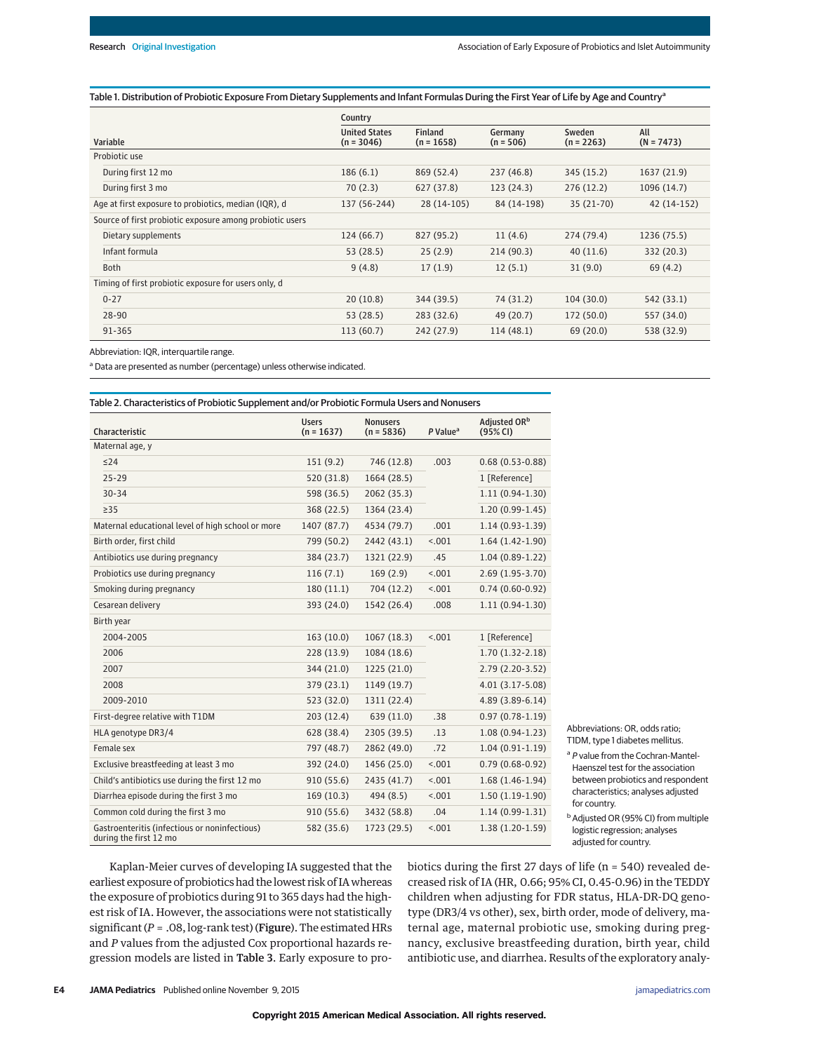## Table 1. Distribution of Probiotic Exposure From Dietary Supplements and Infant Formulas During the First Year of Life by Age and Country<sup>a</sup>

|                                                          | Country                              |                                |                        |                        |                     |  |
|----------------------------------------------------------|--------------------------------------|--------------------------------|------------------------|------------------------|---------------------|--|
| Variable                                                 | <b>United States</b><br>$(n = 3046)$ | <b>Finland</b><br>$(n = 1658)$ | Germany<br>$(n = 506)$ | Sweden<br>$(n = 2263)$ | All<br>$(N = 7473)$ |  |
| Probiotic use                                            |                                      |                                |                        |                        |                     |  |
| During first 12 mo                                       | 186(6.1)                             | 869 (52.4)                     | 237 (46.8)             | 345 (15.2)             | 1637 (21.9)         |  |
| During first 3 mo                                        | 70(2.3)                              | 627 (37.8)                     | 123(24.3)              | 276(12.2)              | 1096 (14.7)         |  |
| Age at first exposure to probiotics, median (IQR), d     | 137 (56-244)                         | 28 (14-105)                    | 84 (14-198)            | $35(21-70)$            | 42 (14-152)         |  |
| Source of first probiotic exposure among probiotic users |                                      |                                |                        |                        |                     |  |
| Dietary supplements                                      | 124(66.7)                            | 827 (95.2)                     | 11(4.6)                | 274 (79.4)             | 1236 (75.5)         |  |
| Infant formula                                           | 53 (28.5)                            | 25(2.9)                        | 214 (90.3)             | 40(11.6)               | 332 (20.3)          |  |
| Both                                                     | 9(4.8)                               | 17(1.9)                        | 12(5.1)                | 31(9.0)                | 69 (4.2)            |  |
| Timing of first probiotic exposure for users only, d     |                                      |                                |                        |                        |                     |  |
| $0 - 27$                                                 | 20(10.8)                             | 344 (39.5)                     | 74 (31.2)              | 104(30.0)              | 542 (33.1)          |  |
| 28-90                                                    | 53(28.5)                             | 283 (32.6)                     | 49 (20.7)              | 172 (50.0)             | 557 (34.0)          |  |
| 91-365                                                   | 113(60.7)                            | 242 (27.9)                     | 114(48.1)              | 69(20.0)               | 538 (32.9)          |  |

Abbreviation: IQR, interquartile range.

<sup>a</sup> Data are presented as number (percentage) unless otherwise indicated.

| Table 2. Characteristics of Probiotic Supplement and/or Probiotic Formula Users and Nonusers |                              |                                 |                      |                                      |  |
|----------------------------------------------------------------------------------------------|------------------------------|---------------------------------|----------------------|--------------------------------------|--|
| Characteristic                                                                               | <b>Users</b><br>$(n = 1637)$ | <b>Nonusers</b><br>$(n = 5836)$ | P Value <sup>a</sup> | Adjusted OR <sup>b</sup><br>(95% CI) |  |
| Maternal age, y                                                                              |                              |                                 |                      |                                      |  |
| $\leq$ 24                                                                                    | 151(9.2)                     | 746 (12.8)                      | .003                 | $0.68(0.53 - 0.88)$                  |  |
| $25 - 29$                                                                                    | 520 (31.8)                   | 1664 (28.5)                     |                      | 1 [Reference]                        |  |
| $30 - 34$                                                                                    | 598 (36.5)                   | 2062 (35.3)                     |                      | $1.11(0.94-1.30)$                    |  |
| $\geq$ 35                                                                                    | 368 (22.5)                   | 1364 (23.4)                     |                      | $1.20(0.99-1.45)$                    |  |
| Maternal educational level of high school or more                                            | 1407 (87.7)                  | 4534 (79.7)                     | .001                 | $1.14(0.93-1.39)$                    |  |
| Birth order, first child                                                                     | 799 (50.2)                   | 2442 (43.1)                     | < .001               | $1.64(1.42-1.90)$                    |  |
| Antibiotics use during pregnancy                                                             | 384 (23.7)                   | 1321 (22.9)                     | .45                  | $1.04(0.89-1.22)$                    |  |
| Probiotics use during pregnancy                                                              | 116(7.1)                     | 169(2.9)                        | < .001               | $2.69(1.95-3.70)$                    |  |
| Smoking during pregnancy                                                                     | 180(11.1)                    | 704 (12.2)                      | < .001               | $0.74(0.60-0.92)$                    |  |
| Cesarean delivery                                                                            | 393 (24.0)                   | 1542 (26.4)                     | .008                 | $1.11(0.94-1.30)$                    |  |
| Birth year                                                                                   |                              |                                 |                      |                                      |  |
| 2004-2005                                                                                    | 163(10.0)                    | 1067(18.3)                      | < .001               | 1 [Reference]                        |  |
| 2006                                                                                         | 228(13.9)                    | 1084 (18.6)                     |                      | $1.70(1.32 - 2.18)$                  |  |
| 2007                                                                                         | 344 (21.0)                   | 1225 (21.0)                     |                      | $2.79(2.20-3.52)$                    |  |
| 2008                                                                                         | 379 (23.1)                   | 1149 (19.7)                     |                      | $4.01(3.17-5.08)$                    |  |
| 2009-2010                                                                                    | 523 (32.0)                   | 1311 (22.4)                     |                      | $4.89(3.89 - 6.14)$                  |  |
| First-degree relative with T1DM                                                              | 203(12.4)                    | 639 (11.0)                      | .38                  | $0.97(0.78-1.19)$                    |  |
| HLA genotype DR3/4                                                                           | 628 (38.4)                   | 2305 (39.5)                     | .13                  | $1.08(0.94-1.23)$                    |  |
| Female sex                                                                                   | 797 (48.7)                   | 2862 (49.0)                     | .72                  | $1.04(0.91-1.19)$                    |  |
| Exclusive breastfeeding at least 3 mo                                                        | 392 (24.0)                   | 1456 (25.0)                     | < .001               | $0.79(0.68-0.92)$                    |  |
| Child's antibiotics use during the first 12 mo                                               | 910 (55.6)                   | 2435 (41.7)                     | < .001               | $1.68(1.46-1.94)$                    |  |
| Diarrhea episode during the first 3 mo                                                       | 169(10.3)                    | 494 (8.5)                       | < 0.01               | $1.50(1.19-1.90)$                    |  |
| Common cold during the first 3 mo                                                            | 910(55.6)                    | 3432 (58.8)                     | .04                  | $1.14(0.99-1.31)$                    |  |
| Gastroenteritis (infectious or noninfectious)<br>during the first 12 mo                      | 582 (35.6)                   | 1723 (29.5)                     | < .001               | $1.38(1.20-1.59)$                    |  |

Abbreviations: OR, odds ratio; T1DM, type 1 diabetes mellitus.

a P value from the Cochran-Mantel-Haenszel test for the association between probiotics and respondent characteristics; analyses adjusted for country.

**b** Adjusted OR (95% CI) from multiple logistic regression; analyses adjusted for country.

Kaplan-Meier curves of developing IA suggested that the earliest exposure of probiotics had the lowest risk of IA whereas the exposure of probiotics during 91 to 365 days had the highest risk of IA. However, the associations were not statistically significant (*P* = .08, log-rank test) (Figure). The estimated HRs and *P* values from the adjusted Cox proportional hazards regression models are listed in Table 3. Early exposure to probiotics during the first 27 days of life (n = 540) revealed decreased risk of IA (HR, 0.66; 95% CI, 0.45-0.96) in the TEDDY children when adjusting for FDR status, HLA-DR-DQ genotype (DR3/4 vs other), sex, birth order, mode of delivery, maternal age, maternal probiotic use, smoking during pregnancy, exclusive breastfeeding duration, birth year, child antibiotic use, and diarrhea. Results of the exploratory analy-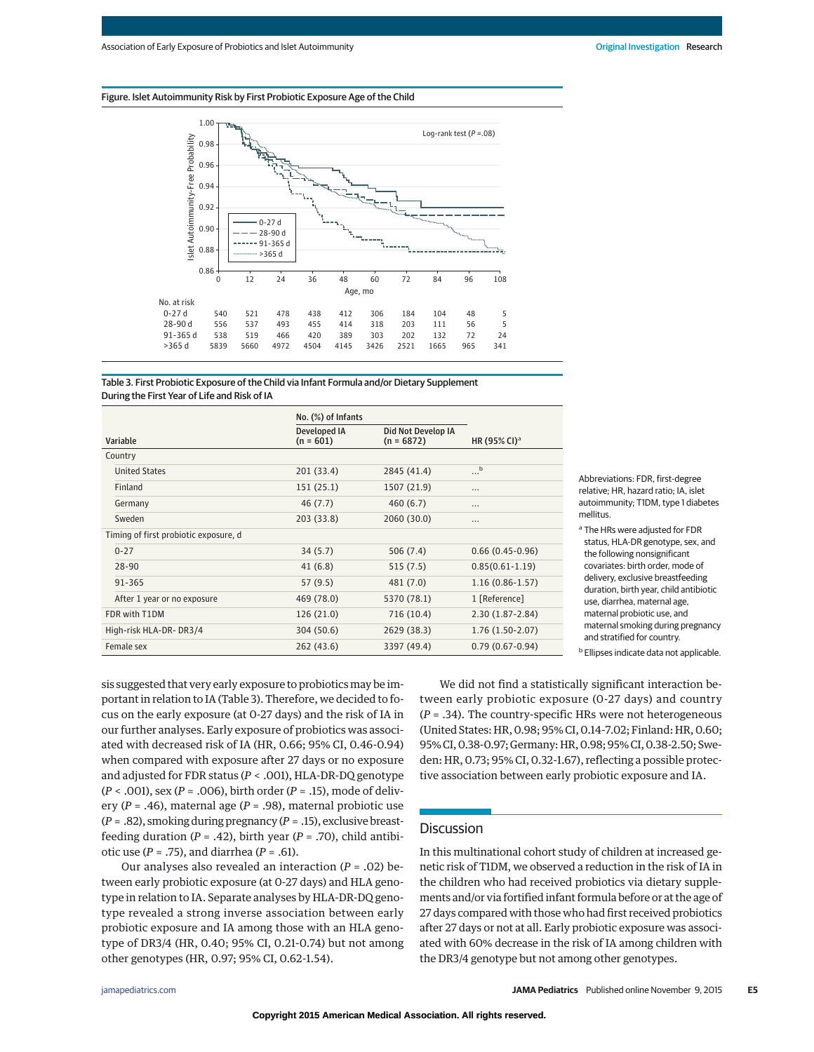



| Table 3. First Probiotic Exposure of the Child via Infant Formula and/or Dietary Supplement |
|---------------------------------------------------------------------------------------------|
| During the First Year of Life and Risk of IA                                                |

|                                       | No. (%) of Infants                 |                                    |                          |
|---------------------------------------|------------------------------------|------------------------------------|--------------------------|
| Variable                              | <b>Developed IA</b><br>$(n = 601)$ | Did Not Develop IA<br>$(n = 6872)$ | HR (95% CI) <sup>a</sup> |
| Country                               |                                    |                                    |                          |
| <b>United States</b>                  | 201 (33.4)                         | 2845 (41.4)                        | b<br>                    |
| Finland                               | 151(25.1)                          | 1507 (21.9)                        | $\cdots$                 |
| Germany                               | 46 (7.7)                           | 460(6.7)                           | $\cdots$                 |
| Sweden                                | 203 (33.8)                         | 2060 (30.0)                        |                          |
| Timing of first probiotic exposure, d |                                    |                                    |                          |
| $0 - 27$                              | 34(5.7)                            | 506(7.4)                           | $0.66(0.45-0.96)$        |
| $28 - 90$                             | 41(6.8)                            | 515(7.5)                           | $0.85(0.61 - 1.19)$      |
| 91-365                                | 57(9.5)                            | 481 (7.0)                          | $1.16(0.86 - 1.57)$      |
| After 1 year or no exposure           | 469 (78.0)                         | 5370 (78.1)                        | 1 [Reference]            |
| FDR with T1DM                         | 126 (21.0)                         | 716 (10.4)                         | $2.30(1.87 - 2.84)$      |
| High-risk HLA-DR-DR3/4                | 304 (50.6)                         | 2629 (38.3)                        | $1.76(1.50-2.07)$        |
| Female sex                            | 262 (43.6)                         | 3397 (49.4)                        | $0.79(0.67-0.94)$        |

Abbreviations: FDR, first-degree relative; HR, hazard ratio; IA, islet autoimmunity; T1DM, type 1 diabetes mellitus.

<sup>a</sup> The HRs were adjusted for FDR status, HLA-DR genotype, sex, and the following nonsignificant covariates: birth order, mode of delivery, exclusive breastfeeding duration, birth year, child antibiotic use, diarrhea, maternal age, maternal probiotic use, and maternal smoking during pregnancy and stratified for country.

**b** Ellipses indicate data not applicable.

sis suggested that very early exposure to probiotics may be important in relation to IA (Table 3). Therefore, we decided to focus on the early exposure (at 0-27 days) and the risk of IA in our further analyses. Early exposure of probiotics was associated with decreased risk of IA (HR, 0.66; 95% CI, 0.46-0.94) when compared with exposure after 27 days or no exposure and adjusted for FDR status (*P* < .001), HLA-DR-DQ genotype (*P* < .001), sex (*P* = .006), birth order (*P* = .15), mode of delivery (*P* = .46), maternal age (*P* = .98), maternal probiotic use (*P* = .82), smoking during pregnancy (*P* = .15), exclusive breastfeeding duration  $(P = .42)$ , birth year  $(P = .70)$ , child antibiotic use (*P* = .75), and diarrhea (*P* = .61).

Our analyses also revealed an interaction (*P* = .02) between early probiotic exposure (at 0-27 days) and HLA genotype in relation to IA. Separate analyses by HLA-DR-DQ genotype revealed a strong inverse association between early probiotic exposure and IA among those with an HLA genotype of DR3/4 (HR, 0.40; 95% CI, 0.21-0.74) but not among other genotypes (HR, 0.97; 95% CI, 0.62-1.54).

We did not find a statistically significant interaction between early probiotic exposure (0-27 days) and country (*P* = .34). The country-specific HRs were not heterogeneous (United States: HR, 0.98; 95% CI, 0.14-7.02; Finland: HR, 0.60; 95% CI, 0.38-0.97; Germany: HR, 0.98; 95% CI, 0.38-2.50; Sweden: HR, 0.73; 95% CI, 0.32-1.67), reflecting a possible protective association between early probiotic exposure and IA.

## **Discussion**

In this multinational cohort study of children at increased genetic risk of T1DM, we observed a reduction in the risk of IA in the children who had received probiotics via dietary supplements and/or via fortified infant formula before or at the age of 27 days compared with those who had first received probiotics after 27 days or not at all. Early probiotic exposure was associated with 60% decrease in the risk of IA among children with the DR3/4 genotype but not among other genotypes.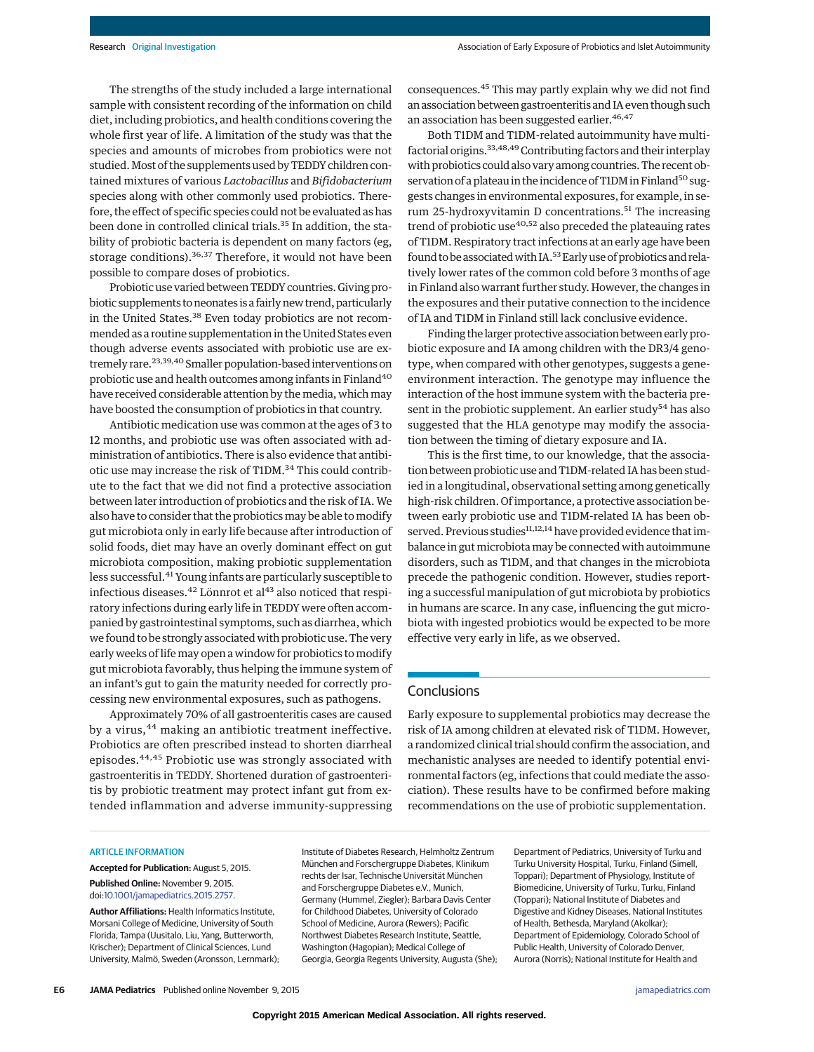The strengths of the study included a large international sample with consistent recording of the information on child diet, including probiotics, and health conditions covering the whole first year of life. A limitation of the study was that the species and amounts of microbes from probiotics were not studied. Most of the supplements used by TEDDY children contained mixtures of various *Lactobacillus* and *Bifidobacterium* species along with other commonly used probiotics. Therefore, the effect of specific species could not be evaluated as has been done in controlled clinical trials.<sup>35</sup> In addition, the stability of probiotic bacteria is dependent on many factors (eg, storage conditions).<sup>36,37</sup> Therefore, it would not have been possible to compare doses of probiotics.

Probiotic use varied between TEDDY countries. Giving probiotic supplements to neonates is a fairly new trend, particularly in the United States.<sup>38</sup> Even today probiotics are not recommended as a routine supplementation in the United States even though adverse events associated with probiotic use are extremely rare.<sup>23,39,40</sup> Smaller population-based interventions on probiotic use and health outcomes among infants in Finland<sup>40</sup> have received considerable attention by the media, which may have boosted the consumption of probiotics in that country.

Antibiotic medication use was common at the ages of 3 to 12 months, and probiotic use was often associated with administration of antibiotics. There is also evidence that antibiotic use may increase the risk of T1DM.<sup>34</sup> This could contribute to the fact that we did not find a protective association between later introduction of probiotics and the risk of IA. We also have to consider that the probiotics may be able to modify gut microbiota only in early life because after introduction of solid foods, diet may have an overly dominant effect on gut microbiota composition, making probiotic supplementation less successful.<sup>41</sup> Young infants are particularly susceptible to infectious diseases.<sup>42</sup> Lönnrot et al<sup>43</sup> also noticed that respiratory infections during early life in TEDDY were often accompanied by gastrointestinal symptoms, such as diarrhea, which we found to be strongly associated with probiotic use. The very early weeks of life may open a window for probiotics to modify gut microbiota favorably, thus helping the immune system of an infant's gut to gain the maturity needed for correctly processing new environmental exposures, such as pathogens.

Approximately 70% of all gastroenteritis cases are caused by a virus,<sup>44</sup> making an antibiotic treatment ineffective. Probiotics are often prescribed instead to shorten diarrheal episodes.44,45 Probiotic use was strongly associated with gastroenteritis in TEDDY. Shortened duration of gastroenteritis by probiotic treatment may protect infant gut from extended inflammation and adverse immunity-suppressing consequences.45 This may partly explain why we did not find an association between gastroenteritis and IA even though such an association has been suggested earlier.<sup>46,47</sup>

Both T1DM and T1DM-related autoimmunity have multifactorial origins.<sup>33,48,49</sup> Contributing factors and their interplay with probiotics could also vary among countries. The recent observation of a plateau in the incidence of T1DM in Finland<sup>50</sup> suggests changes in environmental exposures, for example, in serum 25-hydroxyvitamin D concentrations.<sup>51</sup> The increasing trend of probiotic use<sup>40,52</sup> also preceded the plateauing rates of T1DM. Respiratory tract infections at an early age have been found to be associated with IA.<sup>53</sup> Early use of probiotics and relatively lower rates of the common cold before 3 months of age in Finland also warrant further study. However, the changes in the exposures and their putative connection to the incidence of IA and T1DM in Finland still lack conclusive evidence.

Finding the larger protective association between early probiotic exposure and IA among children with the DR3/4 genotype, when compared with other genotypes, suggests a geneenvironment interaction. The genotype may influence the interaction of the host immune system with the bacteria present in the probiotic supplement. An earlier study<sup>54</sup> has also suggested that the HLA genotype may modify the association between the timing of dietary exposure and IA.

This is the first time, to our knowledge, that the association between probiotic use and T1DM-related IA has been studied in a longitudinal, observational setting among genetically high-risk children. Of importance, a protective association between early probiotic use and T1DM-related IA has been observed. Previous studies<sup>11,12,14</sup> have provided evidence that imbalance in gut microbiota may be connected with autoimmune disorders, such as T1DM, and that changes in the microbiota precede the pathogenic condition. However, studies reporting a successful manipulation of gut microbiota by probiotics in humans are scarce. In any case, influencing the gut microbiota with ingested probiotics would be expected to be more effective very early in life, as we observed.

## **Conclusions**

Early exposure to supplemental probiotics may decrease the risk of IA among children at elevated risk of T1DM. However, a randomized clinical trial should confirm the association, and mechanistic analyses are needed to identify potential environmental factors (eg, infections that could mediate the association). These results have to be confirmed before making recommendations on the use of probiotic supplementation.

#### ARTICLE INFORMATION

**Accepted for Publication:** August 5, 2015. **Published Online:** November 9, 2015. doi[:10.1001/jamapediatrics.2015.2757.](http://jama.jamanetwork.com/article.aspx?doi=10.1001/jamapediatrics.2015.2757&utm_campaign=articlePDF%26utm_medium=articlePDFlink%26utm_source=articlePDF%26utm_content=jamapediatrics.2015.2757)

**Author Affiliations:** Health Informatics Institute, Morsani College of Medicine, University of South Florida, Tampa (Uusitalo, Liu, Yang, Butterworth, Krischer); Department of Clinical Sciences, Lund University, Malmö, Sweden (Aronsson, Lernmark); Institute of Diabetes Research, Helmholtz Zentrum München and Forschergruppe Diabetes, Klinikum rechts der Isar, Technische Universität München and Forschergruppe Diabetes e.V., Munich, Germany (Hummel, Ziegler); Barbara Davis Center for Childhood Diabetes, University of Colorado School of Medicine, Aurora (Rewers); Pacific Northwest Diabetes Research Institute, Seattle, Washington (Hagopian); Medical College of Georgia, Georgia Regents University, Augusta (She);

Department of Pediatrics, University of Turku and Turku University Hospital, Turku, Finland (Simell, Toppari); Department of Physiology, Institute of Biomedicine, University of Turku, Turku, Finland (Toppari); National Institute of Diabetes and Digestive and Kidney Diseases, National Institutes of Health, Bethesda, Maryland (Akolkar); Department of Epidemiology, Colorado School of Public Health, University of Colorado Denver, Aurora (Norris); National Institute for Health and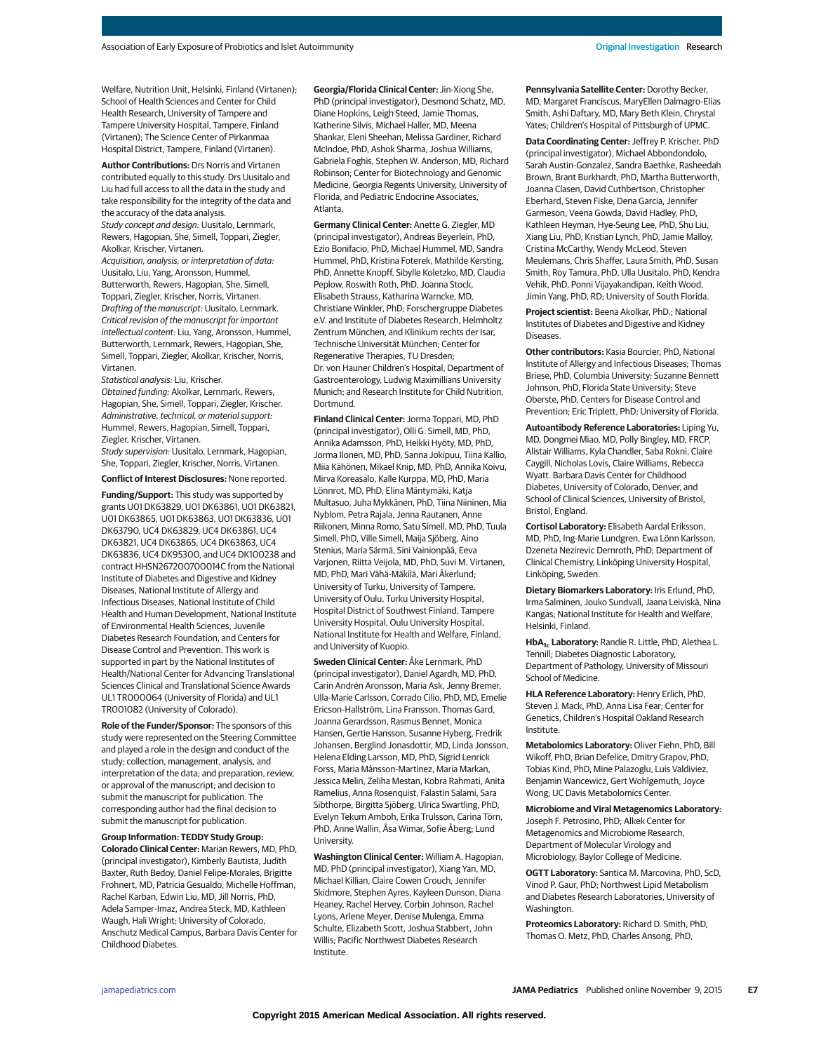Welfare, Nutrition Unit, Helsinki, Finland (Virtanen); School of Health Sciences and Center for Child Health Research, University of Tampere and Tampere University Hospital, Tampere, Finland (Virtanen); The Science Center of Pirkanmaa Hospital District, Tampere, Finland (Virtanen).

**Author Contributions:** Drs Norris and Virtanen contributed equally to this study. Drs Uusitalo and Liu had full access to all the data in the study and take responsibility for the integrity of the data and the accuracy of the data analysis.

Study concept and design: Uusitalo, Lernmark, Rewers, Hagopian, She, Simell, Toppari, Ziegler, Akolkar, Krischer, Virtanen.

Acquisition, analysis, or interpretation of data: Uusitalo, Liu, Yang, Aronsson, Hummel, Butterworth, Rewers, Hagopian, She, Simell, Toppari, Ziegler, Krischer, Norris, Virtanen. Drafting of the manuscript: Uusitalo, Lernmark. Critical revision of the manuscript for important intellectual content: Liu, Yang, Aronsson, Hummel, Butterworth, Lernmark, Rewers, Hagopian, She, Simell, Toppari, Ziegler, Akolkar, Krischer, Norris, Virtanen.

Statistical analysis: Liu, Krischer.

Obtained funding: Akolkar, Lernmark, Rewers, Hagopian, She, Simell, Toppari, Ziegler, Krischer. Administrative, technical, or material support: Hummel, Rewers, Hagopian, Simell, Toppari, Ziegler, Krischer, Virtanen.

Study supervision: Uusitalo, Lernmark, Hagopian, She, Toppari, Ziegler, Krischer, Norris, Virtanen.

**Conflict of Interest Disclosures:** None reported.

**Funding/Support:** This study was supported by grants U01 DK63829, U01 DK63861, U01 DK63821, U01 DK63865, U01 DK63863, U01 DK63836, U01 DK63790, UC4 DK63829, UC4 DK63861, UC4 DK63821, UC4 DK63865, UC4 DK63863, UC4 DK63836, UC4 DK95300, and UC4 DK100238 and contract HHSN267200700014C from the National Institute of Diabetes and Digestive and Kidney Diseases, National Institute of Allergy and Infectious Diseases, National Institute of Child Health and Human Development, National Institute of Environmental Health Sciences, Juvenile Diabetes Research Foundation, and Centers for Disease Control and Prevention. This work is supported in part by the National Institutes of Health/National Center for Advancing Translational Sciences Clinical and Translational Science Awards UL1 TR000064 (University of Florida) and UL1 TR001082 (University of Colorado).

**Role of the Funder/Sponsor:** The sponsors of this study were represented on the Steering Committee and played a role in the design and conduct of the study; collection, management, analysis, and interpretation of the data; and preparation, review, or approval of the manuscript; and decision to submit the manuscript for publication. The corresponding author had the final decision to submit the manuscript for publication.

**Group Information: TEDDY Study Group: Colorado Clinical Center:** Marian Rewers, MD, PhD, (principal investigator), Kimberly Bautista, Judith Baxter, Ruth Bedoy, Daniel Felipe-Morales, Brigitte Frohnert, MD, Patricia Gesualdo, Michelle Hoffman, Rachel Karban, Edwin Liu, MD, Jill Norris, PhD, Adela Samper-Imaz, Andrea Steck, MD, Kathleen Waugh, Hali Wright; University of Colorado, Anschutz Medical Campus, Barbara Davis Center for Childhood Diabetes.

**Georgia/Florida Clinical Center:** Jin-Xiong She, PhD (principal investigator), Desmond Schatz, MD, Diane Hopkins, Leigh Steed, Jamie Thomas, Katherine Silvis, Michael Haller, MD, Meena Shankar, Eleni Sheehan, Melissa Gardiner, Richard McIndoe, PhD, Ashok Sharma, Joshua Williams, Gabriela Foghis, Stephen W. Anderson, MD, Richard Robinson; Center for Biotechnology and Genomic Medicine, Georgia Regents University, University of Florida, and Pediatric Endocrine Associates, Atlanta.

**Germany Clinical Center:** Anette G. Ziegler, MD (principal investigator), Andreas Beyerlein, PhD, Ezio Bonifacio, PhD, Michael Hummel, MD, Sandra Hummel, PhD, Kristina Foterek, Mathilde Kersting, PhD, Annette Knopff, Sibylle Koletzko, MD, Claudia Peplow, Roswith Roth, PhD, Joanna Stock, Elisabeth Strauss, Katharina Warncke, MD, Christiane Winkler, PhD; Forschergruppe Diabetes e.V. and Institute of Diabetes Research, Helmholtz Zentrum München, and Klinikum rechts der Isar, Technische Universität München; Center for Regenerative Therapies, TU Dresden; Dr. von Hauner Children's Hospital, Department of Gastroenterology, Ludwig Maximillians University Munich; and Research Institute for Child Nutrition, Dortmund.

**Finland Clinical Center:** Jorma Toppari, MD, PhD (principal investigator), Olli G. Simell, MD, PhD, Annika Adamsson, PhD, Heikki Hyöty, MD, PhD, Jorma Ilonen, MD, PhD, Sanna Jokipuu, Tiina Kallio, Miia Kähönen, Mikael Knip, MD, PhD, Annika Koivu, Mirva Koreasalo, Kalle Kurppa, MD, PhD, Maria Lönnrot, MD, PhD, Elina Mäntymäki, Katja Multasuo, Juha Mykkänen, PhD, Tiina Niininen, Mia Nyblom, Petra Rajala, Jenna Rautanen, Anne Riikonen, Minna Romo, Satu Simell, MD, PhD, Tuula Simell, PhD, Ville Simell, Maija Sjöberg, Aino Stenius, Maria Särmä, Sini Vainionpää, Eeva Varjonen, Riitta Veijola, MD, PhD, Suvi M. Virtanen, MD, PhD, Mari Vähä-Mäkilä, Mari Åkerlund; University of Turku, University of Tampere, University of Oulu, Turku University Hospital, Hospital District of Southwest Finland, Tampere University Hospital, Oulu University Hospital, National Institute for Health and Welfare, Finland, and University of Kuopio.

**Sweden Clinical Center:** Åke Lernmark, PhD (principal investigator), Daniel Agardh, MD, PhD, Carin Andrén Aronsson, Maria Ask, Jenny Bremer, Ulla-Marie Carlsson, Corrado Cilio, PhD, MD, Emelie Ericson-Hallström, Lina Fransson, Thomas Gard, Joanna Gerardsson, Rasmus Bennet, Monica Hansen, Gertie Hansson, Susanne Hyberg, Fredrik Johansen, Berglind Jonasdottir, MD, Linda Jonsson, Helena Elding Larsson, MD, PhD, Sigrid Lenrick Forss, Maria Månsson-Martinez, Maria Markan, Jessica Melin, Zeliha Mestan, Kobra Rahmati, Anita Ramelius, Anna Rosenquist, Falastin Salami, Sara Sibthorpe, Birgitta Sjöberg, Ulrica Swartling, PhD, Evelyn Tekum Amboh, Erika Trulsson, Carina Törn, PhD, Anne Wallin, Åsa Wimar, Sofie Åberg; Lund University.

**Washington Clinical Center:** William A. Hagopian, MD, PhD (principal investigator), Xiang Yan, MD, Michael Killian, Claire Cowen Crouch, Jennifer Skidmore, Stephen Ayres, Kayleen Dunson, Diana Heaney, Rachel Hervey, Corbin Johnson, Rachel Lyons, Arlene Meyer, Denise Mulenga, Emma Schulte, Elizabeth Scott, Joshua Stabbert, John Willis; Pacific Northwest Diabetes Research Institute.

**Pennsylvania Satellite Center:** Dorothy Becker, MD, Margaret Franciscus, MaryEllen Dalmagro-Elias Smith, Ashi Daftary, MD, Mary Beth Klein, Chrystal Yates; Children's Hospital of Pittsburgh of UPMC.

**Data Coordinating Center:** Jeffrey P. Krischer, PhD (principal investigator), Michael Abbondondolo, Sarah Austin-Gonzalez, Sandra Baethke, Rasheedah Brown, Brant Burkhardt, PhD, Martha Butterworth, Joanna Clasen, David Cuthbertson, Christopher Eberhard, Steven Fiske, Dena Garcia, Jennifer Garmeson, Veena Gowda, David Hadley, PhD, Kathleen Heyman, Hye-Seung Lee, PhD, Shu Liu, Xiang Liu, PhD, Kristian Lynch, PhD, Jamie Malloy, Cristina McCarthy, Wendy McLeod, Steven Meulemans, Chris Shaffer, Laura Smith, PhD, Susan Smith, Roy Tamura, PhD, Ulla Uusitalo, PhD, Kendra Vehik, PhD, Ponni Vijayakandipan, Keith Wood, Jimin Yang, PhD, RD; University of South Florida.

**Project scientist:** Beena Akolkar, PhD.; National Institutes of Diabetes and Digestive and Kidney **Diseases** 

**Other contributors:** Kasia Bourcier, PhD, National Institute of Allergy and Infectious Diseases; Thomas Briese, PhD, Columbia University; Suzanne Bennett Johnson, PhD, Florida State University; Steve Oberste, PhD, Centers for Disease Control and Prevention; Eric Triplett, PhD; University of Florida.

**Autoantibody Reference Laboratories:** Liping Yu, MD, Dongmei Miao, MD, Polly Bingley, MD, FRCP, Alistair Williams, Kyla Chandler, Saba Rokni, Claire Caygill, Nicholas Lovis, Claire Williams, Rebecca Wyatt. Barbara Davis Center for Childhood Diabetes, University of Colorado, Denver, and School of Clinical Sciences, University of Bristol, Bristol, England.

**Cortisol Laboratory:** Elisabeth Aardal Eriksson, MD, PhD, Ing-Marie Lundgren, Ewa Lönn Karlsson, Dzeneta Nezirevic Dernroth, PhD; Department of Clinical Chemistry, Linköping University Hospital, Linköping, Sweden.

**Dietary Biomarkers Laboratory:** Iris Erlund, PhD, Irma Salminen, Jouko Sundvall, Jaana Leiviskä, Nina Kangas; National Institute for Health and Welfare, Helsinki, Finland.

**HbA1c Laboratory:** Randie R. Little, PhD, Alethea L. Tennill; Diabetes Diagnostic Laboratory, Department of Pathology, University of Missouri School of Medicine.

**HLA Reference Laboratory:** Henry Erlich, PhD, Steven J. Mack, PhD, Anna Lisa Fear; Center for Genetics, Children's Hospital Oakland Research Institute.

**Metabolomics Laboratory:** Oliver Fiehn, PhD, Bill Wikoff, PhD, Brian Defelice, Dmitry Grapov, PhD, Tobias Kind, PhD, Mine Palazoglu, Luis Valdiviez, Benjamin Wancewicz, Gert Wohlgemuth, Joyce Wong; UC Davis Metabolomics Center.

**Microbiome and Viral Metagenomics Laboratory:** Joseph F. Petrosino, PhD; Alkek Center for Metagenomics and Microbiome Research, Department of Molecular Virology and Microbiology, Baylor College of Medicine.

**OGTT Laboratory:** Santica M. Marcovina, PhD, ScD, Vinod P. Gaur, PhD; Northwest Lipid Metabolism and Diabetes Research Laboratories, University of Washington.

**Proteomics Laboratory:** Richard D. Smith, PhD, Thomas O. Metz, PhD, Charles Ansong, PhD,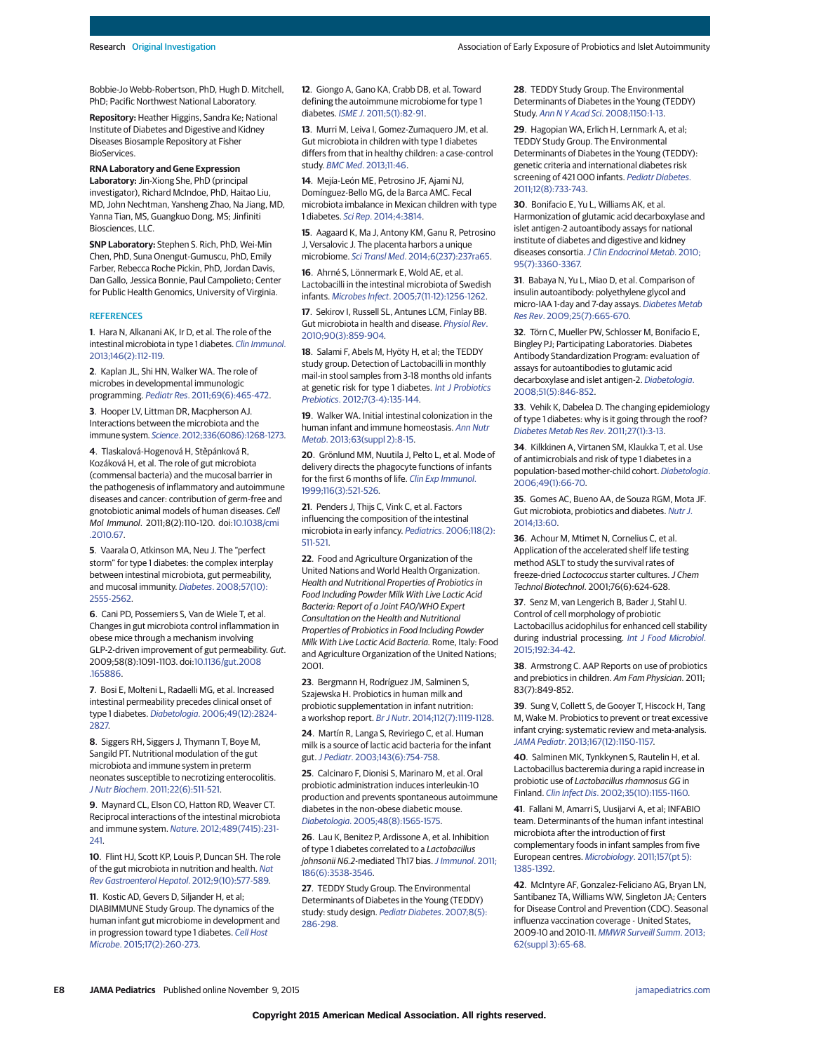Bobbie-Jo Webb-Robertson, PhD, Hugh D. Mitchell, PhD; Pacific Northwest National Laboratory.

**Repository:** Heather Higgins, Sandra Ke; National Institute of Diabetes and Digestive and Kidney Diseases Biosample Repository at Fisher **BioServices** 

**RNA Laboratory and Gene Expression Laboratory:** Jin-Xiong She, PhD (principal investigator), Richard McIndoe, PhD, Haitao Liu,

MD, John Nechtman, Yansheng Zhao, Na Jiang, MD, Yanna Tian, MS, Guangkuo Dong, MS; Jinfiniti Biosciences, LLC.

**SNP Laboratory:** Stephen S. Rich, PhD, Wei-Min Chen, PhD, Suna Onengut-Gumuscu, PhD, Emily Farber, Rebecca Roche Pickin, PhD, Jordan Davis, Dan Gallo, Jessica Bonnie, Paul Campolieto; Center for Public Health Genomics, University of Virginia.

#### **REFERENCES**

**1**. Hara N, Alkanani AK, Ir D, et al. The role of the intestinal microbiota in type 1 diabetes. [Clin Immunol](http://www.ncbi.nlm.nih.gov/pubmed/23314185). [2013;146\(2\):112-119.](http://www.ncbi.nlm.nih.gov/pubmed/23314185)

**2**. Kaplan JL, Shi HN, Walker WA. The role of microbes in developmental immunologic programming. Pediatr Res[. 2011;69\(6\):465-472.](http://www.ncbi.nlm.nih.gov/pubmed/21364495)

**3**. Hooper LV, Littman DR, Macpherson AJ. Interactions between the microbiota and the immune system. Science[. 2012;336\(6086\):1268-1273.](http://www.ncbi.nlm.nih.gov/pubmed/22674334)

**4**. Tlaskalová-Hogenová H, Stěpánková R, Kozáková H, et al. The role of gut microbiota (commensal bacteria) and the mucosal barrier in the pathogenesis of inflammatory and autoimmune diseases and cancer: contribution of germ-free and gnotobiotic animal models of human diseases. Cell Mol Immunol. 2011;8(2):110-120. doi[:10.1038/cmi](http://dx.doi.org/10.1038/cmi.2010.67) [.2010.67.](http://dx.doi.org/10.1038/cmi.2010.67)

**5**. Vaarala O, Atkinson MA, Neu J. The "perfect storm" for type 1 diabetes: the complex interplay between intestinal microbiota, gut permeability, and mucosal immunity. Diabetes[. 2008;57\(10\):](http://www.ncbi.nlm.nih.gov/pubmed/18820210) [2555-2562.](http://www.ncbi.nlm.nih.gov/pubmed/18820210)

**6**. Cani PD, Possemiers S, Van de Wiele T, et al. Changes in gut microbiota control inflammation in obese mice through a mechanism involving GLP-2-driven improvement of gut permeability. Gut. 2009;58(8):1091-1103. doi[:10.1136/gut.2008](http://dx.doi.org/10.1136/gut.2008.165886) [.165886.](http://dx.doi.org/10.1136/gut.2008.165886)

**7**. Bosi E, Molteni L, Radaelli MG, et al. Increased intestinal permeability precedes clinical onset of type 1 diabetes. Diabetologia[. 2006;49\(12\):2824-](http://www.ncbi.nlm.nih.gov/pubmed/17028899) [2827.](http://www.ncbi.nlm.nih.gov/pubmed/17028899)

**8**. Siggers RH, Siggers J, Thymann T, Boye M, Sangild PT. Nutritional modulation of the gut microbiota and immune system in preterm neonates susceptible to necrotizing enterocolitis. J Nutr Biochem[. 2011;22\(6\):511-521.](http://www.ncbi.nlm.nih.gov/pubmed/21193301)

**9**. Maynard CL, Elson CO, Hatton RD, Weaver CT. Reciprocal interactions of the intestinal microbiota and immune system. Nature[. 2012;489\(7415\):231-](http://www.ncbi.nlm.nih.gov/pubmed/22972296) [241.](http://www.ncbi.nlm.nih.gov/pubmed/22972296)

**10**. Flint HJ, Scott KP, Louis P, Duncan SH. The role of the gut microbiota in nutrition and health. [Nat](http://www.ncbi.nlm.nih.gov/pubmed/22945443) [Rev Gastroenterol Hepatol](http://www.ncbi.nlm.nih.gov/pubmed/22945443). 2012;9(10):577-589.

**11**. Kostic AD, Gevers D, Siljander H, et al; DIABIMMUNE Study Group. The dynamics of the human infant gut microbiome in development and in progression toward type 1 diabetes. [Cell Host](http://www.ncbi.nlm.nih.gov/pubmed/25662751) Microbe[. 2015;17\(2\):260-273.](http://www.ncbi.nlm.nih.gov/pubmed/25662751)

**12**. Giongo A, Gano KA, Crabb DB, et al. Toward defining the autoimmune microbiome for type 1 diabetes. ISME J[. 2011;5\(1\):82-91.](http://www.ncbi.nlm.nih.gov/pubmed/20613793)

**13**. Murri M, Leiva I, Gomez-Zumaquero JM, et al. Gut microbiota in children with type 1 diabetes differs from that in healthy children: a case-control study. BMC Med[. 2013;11:46.](http://www.ncbi.nlm.nih.gov/pubmed/23433344)

**14**. Mejía-León ME, Petrosino JF, Ajami NJ, Domínguez-Bello MG, de la Barca AMC. Fecal microbiota imbalance in Mexican children with type 1 diabetes. Sci Rep[. 2014;4:3814.](http://www.ncbi.nlm.nih.gov/pubmed/24448554)

**15**. Aagaard K, Ma J, Antony KM, Ganu R, Petrosino J, Versalovic J. The placenta harbors a unique microbiome. Sci Transl Med[. 2014;6\(237\):237ra65.](http://www.ncbi.nlm.nih.gov/pubmed/24848255)

**16**. Ahrné S, Lönnermark E, Wold AE, et al. Lactobacilli in the intestinal microbiota of Swedish infants. Microbes Infect[. 2005;7\(11-12\):1256-1262.](http://www.ncbi.nlm.nih.gov/pubmed/16002310)

**17**. Sekirov I, Russell SL, Antunes LCM, Finlay BB. Gut microbiota in health and disease. [Physiol Rev](http://www.ncbi.nlm.nih.gov/pubmed/20664075). [2010;90\(3\):859-904.](http://www.ncbi.nlm.nih.gov/pubmed/20664075)

**18**. Salami F, Abels M, Hyöty H, et al; the TEDDY study group. Detection of Lactobacilli in monthly mail-in stool samples from 3-18 months old infants at genetic risk for type 1 diabetes. [Int J Probiotics](http://www.ncbi.nlm.nih.gov/pubmed/25045339) Prebiotics[. 2012;7\(3-4\):135-144.](http://www.ncbi.nlm.nih.gov/pubmed/25045339)

**19**. Walker WA. Initial intestinal colonization in the human infant and immune homeostasis. [Ann Nutr](http://www.ncbi.nlm.nih.gov/pubmed/24217032) Metab[. 2013;63\(suppl 2\):8-15.](http://www.ncbi.nlm.nih.gov/pubmed/24217032)

**20**. Grönlund MM, Nuutila J, Pelto L, et al. Mode of delivery directs the phagocyte functions of infants for the first 6 months of life. [Clin Exp Immunol](http://www.ncbi.nlm.nih.gov/pubmed/10361245). [1999;116\(3\):521-526.](http://www.ncbi.nlm.nih.gov/pubmed/10361245)

**21**. Penders J, Thijs C, Vink C, et al. Factors influencing the composition of the intestinal microbiota in early infancy. Pediatrics[. 2006;118\(2\):](http://www.ncbi.nlm.nih.gov/pubmed/16882802) [511-521.](http://www.ncbi.nlm.nih.gov/pubmed/16882802)

**22**. Food and Agriculture Organization of the United Nations and World Health Organization. Health and Nutritional Properties of Probiotics in Food Including Powder Milk With Live Lactic Acid Bacteria: Report of a Joint FAO/WHO Expert Consultation on the Health and Nutritional Properties of Probiotics in Food Including Powder Milk With Live Lactic Acid Bacteria. Rome, Italy: Food and Agriculture Organization of the United Nations; 2001.

**23**. Bergmann H, Rodríguez JM, Salminen S, Szajewska H. Probiotics in human milk and probiotic supplementation in infant nutrition: a workshop report. Br J Nutr[. 2014;112\(7\):1119-1128.](http://www.ncbi.nlm.nih.gov/pubmed/25160058)

**24**. Martín R, Langa S, Reviriego C, et al. Human milk is a source of lactic acid bacteria for the infant gut.J Pediatr[. 2003;143\(6\):754-758.](http://www.ncbi.nlm.nih.gov/pubmed/14657823)

**25**. Calcinaro F, Dionisi S, Marinaro M, et al. Oral probiotic administration induces interleukin-10 production and prevents spontaneous autoimmune diabetes in the non-obese diabetic mouse. Diabetologia[. 2005;48\(8\):1565-1575.](http://www.ncbi.nlm.nih.gov/pubmed/15986236)

**26**. Lau K, Benitez P, Ardissone A, et al. Inhibition of type 1 diabetes correlated to a Lactobacillus johnsonii N6.2-mediated Th17 bias. [J Immunol](http://www.ncbi.nlm.nih.gov/pubmed/21317395). 2011; [186\(6\):3538-3546.](http://www.ncbi.nlm.nih.gov/pubmed/21317395)

**27**. TEDDY Study Group. The Environmental Determinants of Diabetes in the Young (TEDDY) study: study design. [Pediatr Diabetes](http://www.ncbi.nlm.nih.gov/pubmed/17850472). 2007;8(5): [286-298.](http://www.ncbi.nlm.nih.gov/pubmed/17850472)

**28**. TEDDY Study Group. The Environmental Determinants of Diabetes in the Young (TEDDY) Study. Ann N Y Acad Sci[. 2008;1150:1-13.](http://www.ncbi.nlm.nih.gov/pubmed/19120261)

**29**. Hagopian WA, Erlich H, Lernmark A, et al; TEDDY Study Group. The Environmental Determinants of Diabetes in the Young (TEDDY): genetic criteria and international diabetes risk screening of 421000 infants. [Pediatr Diabetes](http://www.ncbi.nlm.nih.gov/pubmed/21564455). [2011;12\(8\):733-743.](http://www.ncbi.nlm.nih.gov/pubmed/21564455)

**30**. Bonifacio E, Yu L, Williams AK, et al. Harmonization of glutamic acid decarboxylase and islet antigen-2 autoantibody assays for national institute of diabetes and digestive and kidney diseases consortia. [J Clin Endocrinol Metab](http://www.ncbi.nlm.nih.gov/pubmed/20444913). 2010; [95\(7\):3360-3367.](http://www.ncbi.nlm.nih.gov/pubmed/20444913)

**31**. Babaya N, Yu L, Miao D, et al. Comparison of insulin autoantibody: polyethylene glycol and micro-IAA 1-day and 7-day assays. [Diabetes Metab](http://www.ncbi.nlm.nih.gov/pubmed/19768733) Res Rev[. 2009;25\(7\):665-670.](http://www.ncbi.nlm.nih.gov/pubmed/19768733)

**32**. Törn C, Mueller PW, Schlosser M, Bonifacio E, Bingley PJ; Participating Laboratories. Diabetes Antibody Standardization Program: evaluation of assays for autoantibodies to glutamic acid decarboxylase and islet antigen-2. [Diabetologia](http://www.ncbi.nlm.nih.gov/pubmed/18373080). [2008;51\(5\):846-852.](http://www.ncbi.nlm.nih.gov/pubmed/18373080)

**33**. Vehik K, Dabelea D. The changing epidemiology of type 1 diabetes: why is it going through the roof? [Diabetes Metab Res Rev](http://www.ncbi.nlm.nih.gov/pubmed/21218503). 2011;27(1):3-13.

**34**. Kilkkinen A, Virtanen SM, Klaukka T, et al. Use of antimicrobials and risk of type 1 diabetes in a population-based mother-child cohort. [Diabetologia](http://www.ncbi.nlm.nih.gov/pubmed/16344923). [2006;49\(1\):66-70.](http://www.ncbi.nlm.nih.gov/pubmed/16344923)

**35**. Gomes AC, Bueno AA, de Souza RGM, Mota JF. Gut microbiota, probiotics and diabetes. [Nutr J](http://www.ncbi.nlm.nih.gov/pubmed/24939063). [2014;13:60.](http://www.ncbi.nlm.nih.gov/pubmed/24939063)

**36**. Achour M, Mtimet N, Cornelius C, et al. Application of the accelerated shelf life testing method ASLT to study the survival rates of freeze-dried Lactococcus starter cultures. J Chem Technol Biotechnol. 2001;76(6):624-628.

**37**. Senz M, van Lengerich B, Bader J, Stahl U. Control of cell morphology of probiotic Lactobacillus acidophilus for enhanced cell stability during industrial processing. [Int J Food Microbiol](http://www.ncbi.nlm.nih.gov/pubmed/25305442). [2015;192:34-42.](http://www.ncbi.nlm.nih.gov/pubmed/25305442)

**38**. Armstrong C. AAP Reports on use of probiotics and prebiotics in children. Am Fam Physician. 2011; 83(7):849-852.

**39**. Sung V, Collett S, de Gooyer T, Hiscock H, Tang M, Wake M. Probiotics to prevent or treat excessive infant crying: systematic review and meta-analysis. JAMA Pediatr[. 2013;167\(12\):1150-1157.](http://www.ncbi.nlm.nih.gov/pubmed/24100440)

**40**. Salminen MK, Tynkkynen S, Rautelin H, et al. Lactobacillus bacteremia during a rapid increase in probiotic use of Lactobacillus rhamnosus GG in Finland. Clin Infect Dis[. 2002;35\(10\):1155-1160.](http://www.ncbi.nlm.nih.gov/pubmed/12410474)

**41**. Fallani M, Amarri S, Uusijarvi A, et al; INFABIO team. Determinants of the human infant intestinal microbiota after the introduction of first complementary foods in infant samples from five European centres. Microbiology[. 2011;157\(pt 5\):](http://www.ncbi.nlm.nih.gov/pubmed/21330436) [1385-1392.](http://www.ncbi.nlm.nih.gov/pubmed/21330436)

**42**. McIntyre AF, Gonzalez-Feliciano AG, Bryan LN, Santibanez TA, Williams WW, Singleton JA; Centers for Disease Control and Prevention (CDC). Seasonal influenza vaccination coverage - United States, 2009-10 and 2010-11. [MMWR Surveill Summ](http://www.ncbi.nlm.nih.gov/pubmed/24264492). 2013; [62\(suppl 3\):65-68.](http://www.ncbi.nlm.nih.gov/pubmed/24264492)